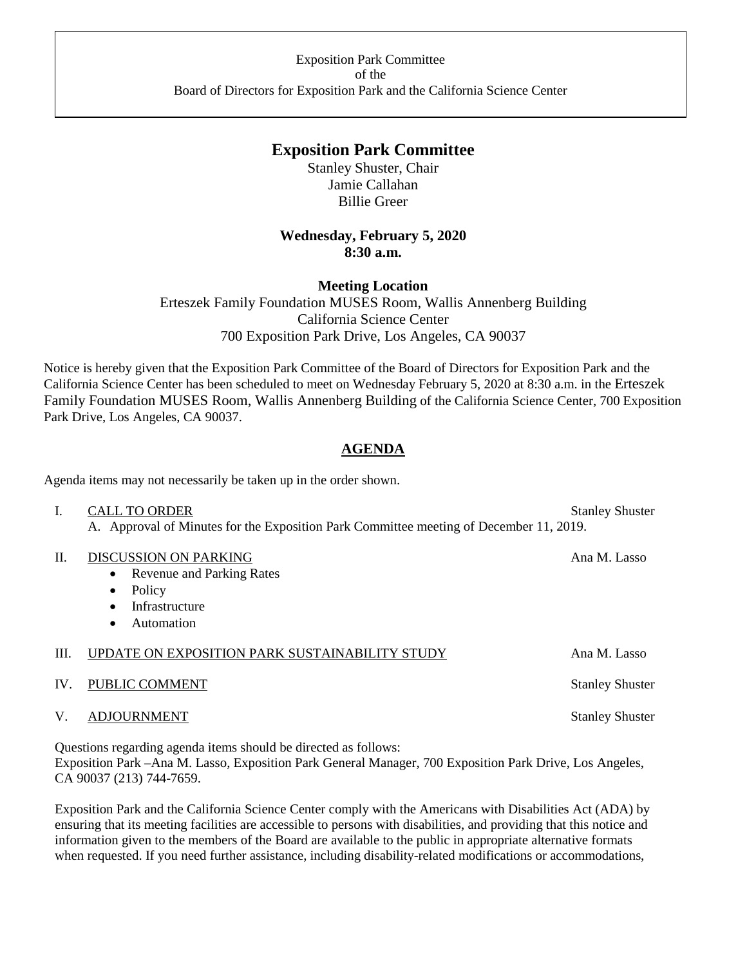# **Exposition Park Committee**

Stanley Shuster, Chair Jamie Callahan Billie Greer

## **Wednesday, February 5, 2020 8:30 a.m.**

### **Meeting Location**

Erteszek Family Foundation MUSES Room, Wallis Annenberg Building California Science Center 700 Exposition Park Drive, Los Angeles, CA 90037

Notice is hereby given that the Exposition Park Committee of the Board of Directors for Exposition Park and the California Science Center has been scheduled to meet on Wednesday February 5, 2020 at 8:30 a.m. in the Erteszek Family Foundation MUSES Room, Wallis Annenberg Building of the California Science Center, 700 Exposition Park Drive, Los Angeles, CA 90037.

## **AGENDA**

Agenda items may not necessarily be taken up in the order shown.

| L.                                                              | <b>CALL TO ORDER</b><br>A. Approval of Minutes for the Exposition Park Committee meeting of December 11, 2019.                                                 | <b>Stanley Shuster</b> |
|-----------------------------------------------------------------|----------------------------------------------------------------------------------------------------------------------------------------------------------------|------------------------|
| П.                                                              | <b>DISCUSSION ON PARKING</b><br><b>Revenue and Parking Rates</b><br>$\bullet$<br>Policy<br>$\bullet$<br>Infrastructure<br>$\bullet$<br>Automation<br>$\bullet$ | Ana M. Lasso           |
| Ш.                                                              | UPDATE ON EXPOSITION PARK SUSTAINABILITY STUDY                                                                                                                 | Ana M. Lasso           |
| IV.                                                             | PUBLIC COMMENT                                                                                                                                                 | <b>Stanley Shuster</b> |
| V.                                                              | <b>ADJOURNMENT</b>                                                                                                                                             | <b>Stanley Shuster</b> |
| Questions regarding agenda items should be directed as follows: |                                                                                                                                                                |                        |

Exposition Park –Ana M. Lasso, Exposition Park General Manager, 700 Exposition Park Drive, Los Angeles, CA 90037 (213) 744-7659.

Exposition Park and the California Science Center comply with the Americans with Disabilities Act (ADA) by ensuring that its meeting facilities are accessible to persons with disabilities, and providing that this notice and information given to the members of the Board are available to the public in appropriate alternative formats when requested. If you need further assistance, including disability-related modifications or accommodations,